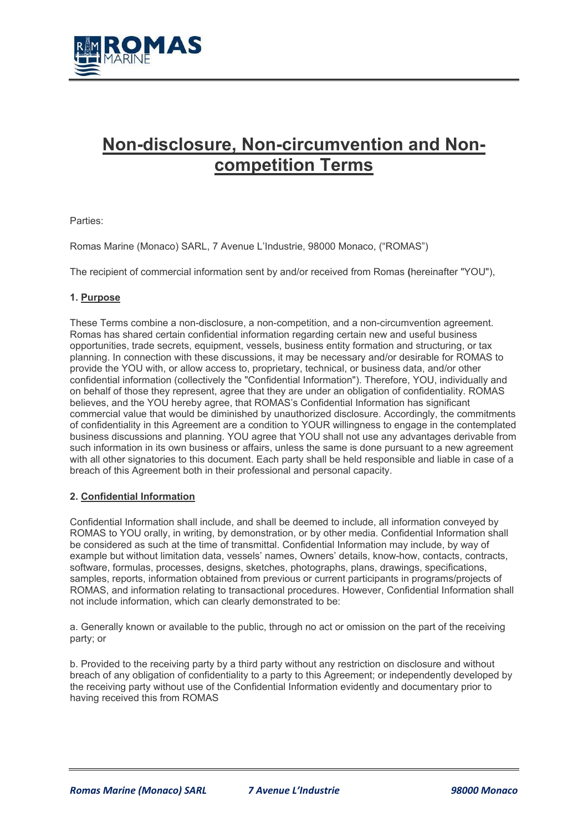

# **Non-disclosure, Non-circumvention and Noncompetition Terms**

Parties:

Romas Marine (Monaco) SARL, 7 Avenue L'Industrie, 98000 Monaco, ("ROMAS")

The recipient of commercial information sent by and/or received from Romas **(**hereinafter "YOU"),

## **1. Purpose**

These Terms combine a non-disclosure, a non-competition, and a non-circumvention agreement. Romas has shared certain confidential information regarding certain new and useful business opportunities, trade secrets, equipment, vessels, business entity formation and structuring, or tax planning. In connection with these discussions, it may be necessary and/or desirable for ROMAS to provide the YOU with, or allow access to, proprietary, technical, or business data, and/or other confidential information (collectively the "Confidential Information"). Therefore, YOU, individually and on behalf of those they represent, agree that they are under an obligation of confidentiality. ROMAS believes, and the YOU hereby agree, that ROMAS's Confidential Information has significant commercial value that would be diminished by unauthorized disclosure. Accordingly, the commitments of confidentiality in this Agreement are a condition to YOUR willingness to engage in the contemplated business discussions and planning. YOU agree that YOU shall not use any advantages derivable from such information in its own business or affairs, unless the same is done pursuant to a new agreement with all other signatories to this document. Each party shall be held responsible and liable in case of a breach of this Agreement both in their professional and personal capacity.

## **2. Confidential Information**

Confidential Information shall include, and shall be deemed to include, all information conveyed by ROMAS to YOU orally, in writing, by demonstration, or by other media. Confidential Information shall be considered as such at the time of transmittal. Confidential Information may include, by way of example but without limitation data, vessels' names, Owners' details, know-how, contacts, contracts, software, formulas, processes, designs, sketches, photographs, plans, drawings, specifications, samples, reports, information obtained from previous or current participants in programs/projects of ROMAS, and information relating to transactional procedures. However, Confidential Information shall not include information, which can clearly demonstrated to be:

a. Generally known or available to the public, through no act or omission on the part of the receiving party; or

b. Provided to the receiving party by a third party without any restriction on disclosure and without breach of any obligation of confidentiality to a party to this Agreement; or independently developed by the receiving party without use of the Confidential Information evidently and documentary prior to having received this from ROMAS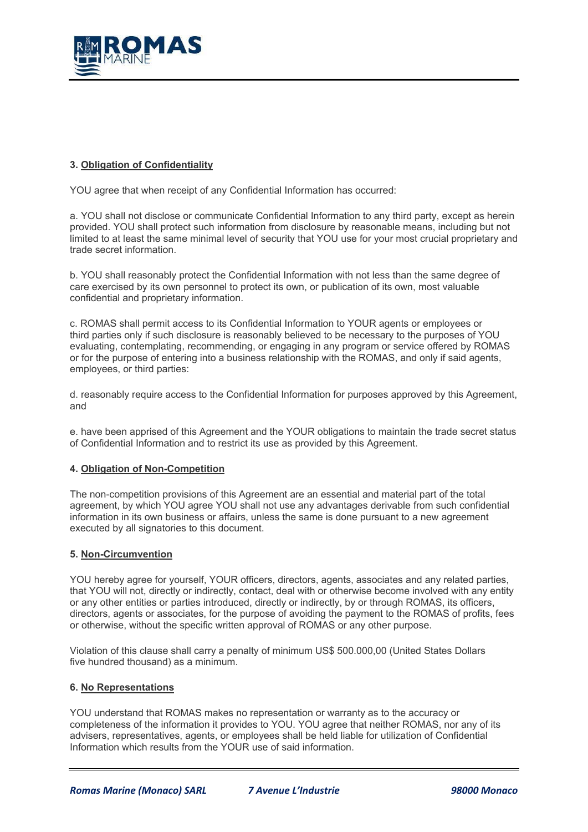

# **3. Obligation of Confidentiality**

YOU agree that when receipt of any Confidential Information has occurred:

a. YOU shall not disclose or communicate Confidential Information to any third party, except as herein provided. YOU shall protect such information from disclosure by reasonable means, including but not limited to at least the same minimal level of security that YOU use for your most crucial proprietary and trade secret information.

b. YOU shall reasonably protect the Confidential Information with not less than the same degree of care exercised by its own personnel to protect its own, or publication of its own, most valuable confidential and proprietary information.

c. ROMAS shall permit access to its Confidential Information to YOUR agents or employees or third parties only if such disclosure is reasonably believed to be necessary to the purposes of YOU evaluating, contemplating, recommending, or engaging in any program or service offered by ROMAS or for the purpose of entering into a business relationship with the ROMAS, and only if said agents, employees, or third parties:

d. reasonably require access to the Confidential Information for purposes approved by this Agreement, and

e. have been apprised of this Agreement and the YOUR obligations to maintain the trade secret status of Confidential Information and to restrict its use as provided by this Agreement.

## **4. Obligation of Non-Competition**

The non-competition provisions of this Agreement are an essential and material part of the total agreement, by which YOU agree YOU shall not use any advantages derivable from such confidential information in its own business or affairs, unless the same is done pursuant to a new agreement executed by all signatories to this document.

#### **5. Non-Circumvention**

YOU hereby agree for yourself, YOUR officers, directors, agents, associates and any related parties, that YOU will not, directly or indirectly, contact, deal with or otherwise become involved with any entity or any other entities or parties introduced, directly or indirectly, by or through ROMAS, its officers, directors, agents or associates, for the purpose of avoiding the payment to the ROMAS of profits, fees or otherwise, without the specific written approval of ROMAS or any other purpose.

Violation of this clause shall carry a penalty of minimum US\$ 500.000,00 (United States Dollars five hundred thousand) as a minimum.

#### **6. No Representations**

YOU understand that ROMAS makes no representation or warranty as to the accuracy or completeness of the information it provides to YOU. YOU agree that neither ROMAS, nor any of its advisers, representatives, agents, or employees shall be held liable for utilization of Confidential Information which results from the YOUR use of said information.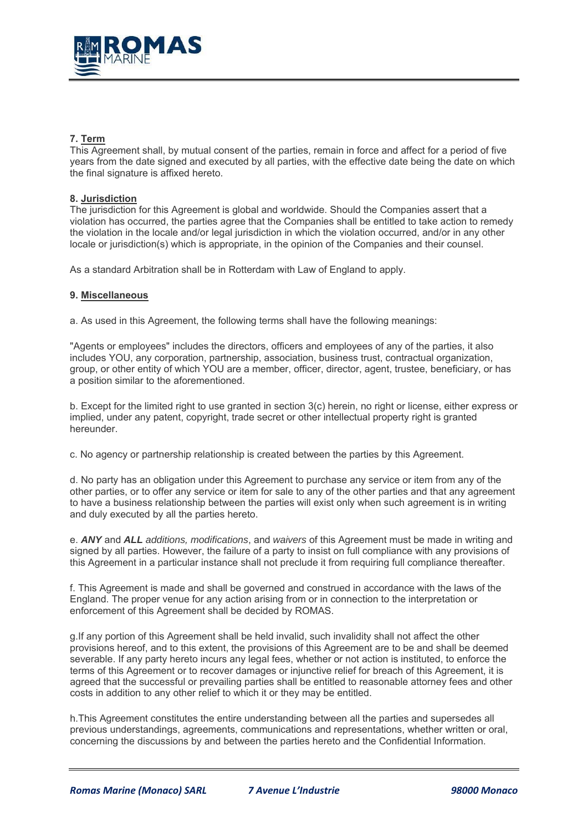

# **7. Term**

This Agreement shall, by mutual consent of the parties, remain in force and affect for a period of five years from the date signed and executed by all parties, with the effective date being the date on which the final signature is affixed hereto.

## **8. Jurisdiction**

The jurisdiction for this Agreement is global and worldwide. Should the Companies assert that a violation has occurred, the parties agree that the Companies shall be entitled to take action to remedy the violation in the locale and/or legal jurisdiction in which the violation occurred, and/or in any other locale or jurisdiction(s) which is appropriate, in the opinion of the Companies and their counsel.

As a standard Arbitration shall be in Rotterdam with Law of England to apply.

#### **9. Miscellaneous**

a. As used in this Agreement, the following terms shall have the following meanings:

"Agents or employees" includes the directors, officers and employees of any of the parties, it also includes YOU, any corporation, partnership, association, business trust, contractual organization, group, or other entity of which YOU are a member, officer, director, agent, trustee, beneficiary, or has a position similar to the aforementioned.

b. Except for the limited right to use granted in section 3(c) herein, no right or license, either express or implied, under any patent, copyright, trade secret or other intellectual property right is granted hereunder.

c. No agency or partnership relationship is created between the parties by this Agreement.

d. No party has an obligation under this Agreement to purchase any service or item from any of the other parties, or to offer any service or item for sale to any of the other parties and that any agreement to have a business relationship between the parties will exist only when such agreement is in writing and duly executed by all the parties hereto.

e. *ANY* and *ALL additions, modifications*, and *waivers* of this Agreement must be made in writing and signed by all parties. However, the failure of a party to insist on full compliance with any provisions of this Agreement in a particular instance shall not preclude it from requiring full compliance thereafter.

f. This Agreement is made and shall be governed and construed in accordance with the laws of the England. The proper venue for any action arising from or in connection to the interpretation or enforcement of this Agreement shall be decided by ROMAS.

g.If any portion of this Agreement shall be held invalid, such invalidity shall not affect the other provisions hereof, and to this extent, the provisions of this Agreement are to be and shall be deemed severable. If any party hereto incurs any legal fees, whether or not action is instituted, to enforce the terms of this Agreement or to recover damages or injunctive relief for breach of this Agreement, it is agreed that the successful or prevailing parties shall be entitled to reasonable attorney fees and other costs in addition to any other relief to which it or they may be entitled.

h.This Agreement constitutes the entire understanding between all the parties and supersedes all previous understandings, agreements, communications and representations, whether written or oral, concerning the discussions by and between the parties hereto and the Confidential Information.